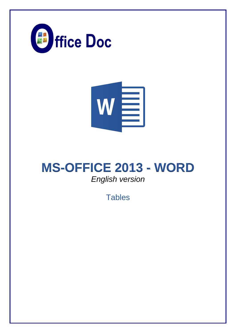



# **MS-OFFICE 2013 - WORD** *English version*

**Tables**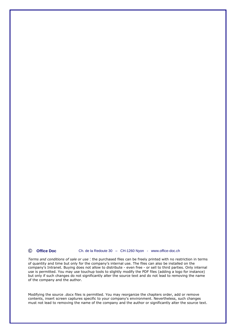**© Office Doc** Ch. de la Redoute 30 – CH-1260 Nyon - www.office-doc.ch

*Terms and conditions of sale or use* : the purchased files can be freely printed with no restriction in terms of quantity and time but only for the company's internal use. The files can also be installed on the company's Intranet. Buying does not allow to distribute - even free - or sell to third parties. Only internal use is permitted. You may use touchup tools to slightly modify the PDF files (adding a logo for instance) but only if such changes do not significantly alter the source text and do not lead to removing the name of the company and the author.

Modifying the source .docx files is permitted. You may reorganize the chapters order, add or remove contents, insert screen captures specific to your company's environment. Nevertheless, such changes must not lead to removing the name of the company and the author or significantly alter the source text.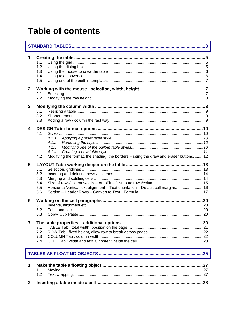# **Table of contents**

| 1              | 1.1<br>1.2<br>1.3<br>1.4<br>1.5                                                                                                          |  |
|----------------|------------------------------------------------------------------------------------------------------------------------------------------|--|
| $\mathbf{2}$   | 2.1<br>2.2                                                                                                                               |  |
| 3              | 3.1<br>3.2<br>3.3                                                                                                                        |  |
| 4              | 4.1<br>4.1.1<br>4.1.2<br>4.1.3<br>4.1.4<br>Modifying the format, the shading, the borders - using the draw and eraser buttons. 12<br>4.2 |  |
| 5              | 5.1<br>5.2<br>5.3<br>5.4<br>5.5<br>Horizontal/vertical text alignment - Text orientation - Default cell margins 16<br>5.6                |  |
| 6              | 6.1<br>6.2<br>6.3                                                                                                                        |  |
| $\overline{7}$ | 7.1<br>7.2<br>7.3<br>7.4                                                                                                                 |  |
|                |                                                                                                                                          |  |
| 1              | 1.1<br>1.2                                                                                                                               |  |
| $\mathbf{2}$   |                                                                                                                                          |  |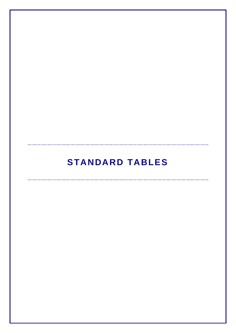# **STANDARD TABLES**

<span id="page-4-0"></span>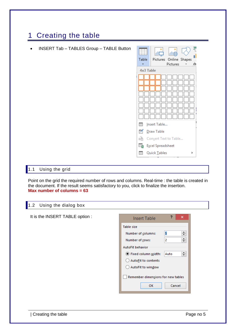## <span id="page-6-0"></span>1 Creating the table



#### <span id="page-6-1"></span>1.1 Using the grid

Point on the grid the required number of rows and columns. Real-time : the table is created in the document. If the result seems satisfactory to you, click to finalize the insertion. **Max number of columns = 63**

#### <span id="page-6-2"></span>1.2 Using the dialog box

| It is the INSERT TABLE option : | ?<br>×<br><b>Insert Table</b>        |
|---------------------------------|--------------------------------------|
|                                 | Table size                           |
|                                 | 5<br>÷<br>Number of columns:         |
|                                 | ÷<br>2<br>Number of rows:            |
|                                 | AutoFit behavior                     |
|                                 | ≑<br>● Fixed column width:<br>Auto   |
|                                 | AutoEit to contents<br>$\rightarrow$ |
|                                 | AutoFit to window                    |
|                                 | Remember dimensions for new tables   |
|                                 | OK<br>Cancel                         |
|                                 |                                      |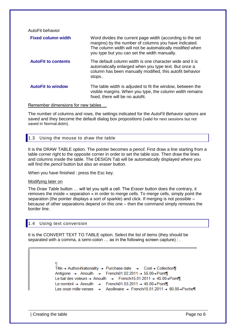AutoFit behavior **Fixed column width** Word divides the current page width (according to the set margins) by the number of columns you have indicated. The column width will not be automatically modified when you type but you can set the width manually. **AutoFit to contents** The default column width is one character wide and it is automatically enlarged when you type text. But once a column has been manually modified, this autofit behavior stops.. **AutoFit to window** The table width is adjusted to fit the window, between the visible margins. When you type, the column width remains fixed, there will be no autofit.

#### Remember dimensions for new tables …

The number of columns and rows, the settings indicated for the *AutoFit Behavior* options are saved and they become the default dialog box propositions (valid for next sessions but not saved in Normal.dotm).

#### <span id="page-7-0"></span>1.3 Using the mouse to *draw* the table

It is the DRAW TABLE option. The pointer becomes a *pencil*. First draw a line starting from a table corner right to the opposite corner in order to set the table size. Then draw the lines and columns inside the table. The DESIGN Tab will be automatically displayed where you will find the *pencil* button but also an *eraser* button.

When you have finished : press the Esc key.

#### Modifying later on

The *Draw Table* button … will let you split a cell. The *Eraser* button does the contrary, it removes the inside « separation » in order to merge cells. To merge cells, simply point the separation (the pointer displays a sort of sparkle) and click. If merging is not possible – because of other separations depend on this one – then the command simply removes the border line.

#### <span id="page-7-1"></span>1.4 Using text conversion

It is the CONVERT TEXT TO TABLE option. Select the list of items (they should be separated with a comma, a semi-colon … as in the following screen capture) : .

> Title - Author Nationality - Purchase date - Cost - Collection Antigone → Anouilh → French01.02.2011 → 55.00→Point¶ Le bal des voleurs - Anouilh - French 15.01.2011 - 45.00-Point Le nombril - Anouilh - French01.03.2011 - 45.00 - Point Les onze mille verges → Apollinaire → French15.01.2011 → 60.00→Poche¶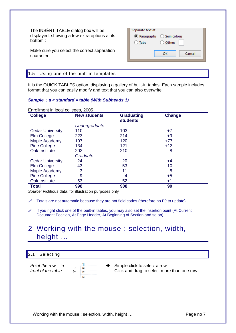The INSÉRT TABLE dialog box will be displayed, showing a few extra options at its bottom :

| Separate text at          |                   |        |
|---------------------------|-------------------|--------|
| ◉ Paragraphs ◯ Semicolons |                   |        |
| Tabs                      | $\bigcirc$ Other: |        |
|                           |                   |        |
|                           | ок                | Cancel |
|                           |                   |        |

Make sure you select the correct separation character

#### <span id="page-8-0"></span>1.5 Using one of the built-in templates

It is the QUICK TABLES option, displaying a gallery of built-in tables. Each sample includes format that you can easily modify and text that you can also overwrite.

#### *Sample : a « standard » table (With Subheads 1)*

| <b>College</b>          | <b>New students</b> | <b>Graduating</b><br><b>students</b> | Change |  |
|-------------------------|---------------------|--------------------------------------|--------|--|
|                         | Undergraduate       |                                      |        |  |
| <b>Cedar University</b> | 110                 | 103                                  | $+7$   |  |
| Elm College             | 223                 | 214                                  | $+9$   |  |
| Maple Academy           | 197                 | 120                                  | $+77$  |  |
| <b>Pine College</b>     | 134                 | 121                                  | $+13$  |  |
| Oak Institute           | 202                 | 210                                  | -8     |  |
|                         | Graduate            |                                      |        |  |
| <b>Cedar University</b> | 24                  | 20                                   | +4     |  |
| Elm College             | 43                  | 53                                   | $-10$  |  |
| Maple Academy           | 3                   | 11                                   | -8     |  |
| <b>Pine College</b>     | 9                   | 4                                    | $+5$   |  |
| Oak Institute           | 53                  | 52                                   | $+1$   |  |
| <b>Total</b>            | 998                 | 908                                  | 90     |  |

*Source:* Fictitious data, for illustration purposes only

 $\mathscr I$  Totals are not automatic because they are not field codes (therefore no F9 to update)

 $\mathscr I$  If you right click one of the built-in tables, you may also set the insertion point (At Current Document Position, At Page Header, At Beginning of Section and so on).

### <span id="page-8-1"></span>2 Working with the mouse : selection, width, height …

#### <span id="page-8-2"></span>2.1 Selecting

*Point the row – in front of the table*



 $\rightarrow$  Simple click to select a row Click and drag to select more than one row

| Working with the mouse : selection, width, height … Page no 7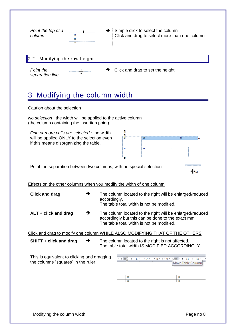<span id="page-9-1"></span><span id="page-9-0"></span>

**SHIFT + click and drag**  $\rightarrow$  The column located to the right is not affected. The table total width IS MODIFIED ACCORDINGLY.

This is equivalent to clicking and dragging the columns "squares" in the ruler :



 $\mathbf{C}$ 

 $\mathbf{u}$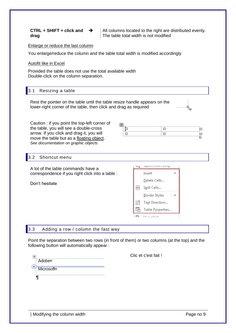| CTRL + SHIFT + click and |  |
|--------------------------|--|
| drag                     |  |

 $\blacktriangleright$  | All columns located to the right are distributed evenly. The table total width is not modified

#### Enlarge or reduce the last column

You enlarge/reduce the column and the table total width is modified accordingly

#### Autofit like in Excel

Provided the table does not use the total available width Double-click on the column separation.

#### <span id="page-10-0"></span>3.1 Resizing a table

Rest the pointer on the table until the table resize handle appears on the lower-right corner of the table, then click and drag as required

| Caution: if you point the top-left corner of | Œ |  |
|----------------------------------------------|---|--|
| the table, you will see a double-cross       |   |  |
| arrow. If you click and drag it, you will    |   |  |
| move the table but as a floating object.     |   |  |
| See documentation on graphic objects         |   |  |

#### <span id="page-10-1"></span>3.2 Shortcut menu

**DEBITO WITH DITIY**  $\overline{\mathcal{M}}$ A lot of the table commands have a correspondence if you right click into a table : Insert k Delete Cells... Don't hesitate Filip Split Cells... **Border Styles**  $\rightarrow$  $||A||$  Text Direction... The Table Properties...  $\sqrt{2}$  $\bar{t}$  is an automatic

#### <span id="page-10-2"></span>3.3 Adding a row / column the fast way

Point the separation between two rows (in front of them) or two columns (at the top) and the following button will automatically appear :



Clic et c'est fait !

k,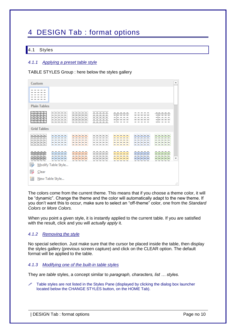## <span id="page-11-0"></span>4 DESIGN Tab : format options

#### <span id="page-11-1"></span>4.1 Styles

#### <span id="page-11-2"></span>*4.1.1 Applying a preset table style*

TABLE STYLES Group : here below the styles gallery

| Custom                  |                                      |                              |                |                                                                                                                                                                                                                                                                                                           |                         |                      | ∸                        |
|-------------------------|--------------------------------------|------------------------------|----------------|-----------------------------------------------------------------------------------------------------------------------------------------------------------------------------------------------------------------------------------------------------------------------------------------------------------|-------------------------|----------------------|--------------------------|
|                         |                                      |                              |                |                                                                                                                                                                                                                                                                                                           |                         |                      |                          |
| <b>Plain Tables</b>     |                                      |                              |                |                                                                                                                                                                                                                                                                                                           |                         |                      |                          |
| 罪<br>$\frac{1}{2}$<br>⊢ |                                      | erener<br>Enderen<br>Enderen | -----          | $\frac{1}{1}$ = $\frac{1}{1}$ = $\frac{1}{1}$ = $\frac{1}{1}$ = $\frac{1}{1}$ = $\frac{1}{1}$ = $\frac{1}{1}$ = $\frac{1}{1}$ = $\frac{1}{1}$ = $\frac{1}{1}$ = $\frac{1}{1}$ = $\frac{1}{1}$ = $\frac{1}{1}$ = $\frac{1}{1}$ = $\frac{1}{1}$ = $\frac{1}{1}$ = $\frac{1}{1}$ = $\frac{1}{1}$ = $\frac{1$ |                         |                      |                          |
| <b>Grid Tables</b>      |                                      |                              |                |                                                                                                                                                                                                                                                                                                           |                         |                      |                          |
| 22222<br>222222         |                                      | 금급급급증<br>EEEEE<br>EEEEE      |                | 22222                                                                                                                                                                                                                                                                                                     | 22222<br>22222<br>23333 | - - - - - -<br>EEEEE |                          |
| <b>第第</b><br>彯          | 22222<br>22222<br>Modify Table Style | 手里手                          | 33333<br>33335 | ----<br>로로로드                                                                                                                                                                                                                                                                                              | <b>SECTION</b>          | 20000                | $\overline{\phantom{a}}$ |
| ₩<br>$C$ lear           |                                      |                              |                |                                                                                                                                                                                                                                                                                                           |                         |                      |                          |
| 麽                       | New Table Style                      |                              |                |                                                                                                                                                                                                                                                                                                           |                         |                      | A.                       |

The colors come from the current theme. This means that if you choose a theme color, it will be "dynamic". Change the theme and the color will automatically adapt to the new theme. If you don't want this to occur, make sure to select an "off-theme" color, one from the *Standard Colors* or *More Colors.*

When you point a given style, it is instantly applied to the current table. If you are satisfied with the result, click and you will *actually apply* it.

#### <span id="page-11-3"></span>*4.1.2 Removing the style*

No special selection. Just make sure that the cursor be placed inside the table, then display the styles gallery (previous screen capture) and click on the CLEAR option. The default format will be applied to the table.

#### <span id="page-11-4"></span>*4.1.3 Modifying one of the built-in table styles*

They are *table* styles, a concept similar to *paragraph, characters, list … styles.*

 Table styles are not listed in the Styles Pane (displayed by clicking the dialog box launcher located below the CHANGE STYLES button, on the HOME Tab).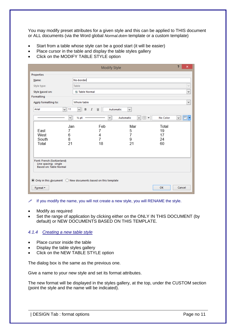You may modify preset attributes for a given style and this can be applied to THIS document or ALL documents (via the Word global *Normal.dotm* template or a custom template)

- Start from a table whose style can be a good start (it will be easier)
- Place cursor in the table and display the table styles gallery
- Click on the MODIFY TABLE STYLE option

|                                                                                     |                        | <b>Modify Style</b>                   |                                      |                 | ņ. | × |
|-------------------------------------------------------------------------------------|------------------------|---------------------------------------|--------------------------------------|-----------------|----|---|
| Properties                                                                          |                        |                                       |                                      |                 |    |   |
| Name:                                                                               | No-border              |                                       |                                      |                 |    |   |
| Style type:                                                                         | Table                  |                                       |                                      |                 |    | v |
| Style based on:                                                                     | <b>Hi Table Normal</b> |                                       |                                      |                 |    | v |
| Formatting                                                                          |                        |                                       |                                      |                 |    |   |
| Apply formatting to:                                                                | Whole table            |                                       |                                      |                 |    | v |
| Arial<br>  11<br>v١                                                                 | B<br>$\cal I$<br>◡     | $\underline{\mathsf{u}}$<br>Automatic | $\checkmark$                         |                 |    |   |
| $\mathbf{v}$                                                                        | $\frac{1}{2}$ pt       | $\forall$                             | $\boxplus$ $\star$<br>Automatic<br>v | <b>No Color</b> | v  |   |
| Jan                                                                                 |                        | Feb                                   | Mar                                  | Total           |    |   |
| East<br>7<br>West                                                                   |                        | 7                                     | 5<br>7                               | 19<br>17        |    |   |
| 6<br>8<br>South                                                                     |                        | 4<br>$\overline{7}$                   | 9                                    | 24              |    |   |
| 21<br>Total                                                                         |                        | 18                                    | 21                                   | 60              |    |   |
|                                                                                     |                        |                                       |                                      |                 |    |   |
| Font: French (Switzerland)<br>Line spacing: single<br><b>Based on: Table Normal</b> |                        |                                       |                                      |                 |    |   |
| $\odot$ Only in this document $\odot$ New documents based on this template          |                        |                                       |                                      |                 |    |   |
| Format -                                                                            | OK<br>Cancel           |                                       |                                      |                 |    |   |

- $\mathscr I$  If you modify the name, you will not create a new style, you will RENAME the style.
- Modify as required
- Set the range of application by clicking either on the ONLY IN THIS DOCUMENT (by default) or NEW DOCUMENTS BASED ON THIS TEMPLATE.

#### <span id="page-12-0"></span>*4.1.4 Creating a new table style*

- Place cursor inside the table
- Display the table styles gallery
- Click on the NEW TABLE STYLE option

The dialog box is the same as the previous one.

Give a name to your new style and set its format attributes.

The new format will be displayed in the styles gallery, at the top, under the CUSTOM section (point the style and the name will be indicated).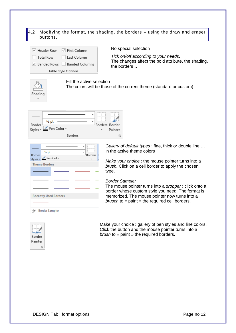#### <span id="page-13-0"></span>4.2 Modifying the format, the shading, the borders – using the draw and eraser buttons. No special selection ○ Header Row ○ First Column *Tick on/off according to your needs*.  $\Box$  Total Row Last Column The changes affect the bold attribute, the shading, Banded Rows Banded Columns the borders … Table Style Options Fill the active selection The colors will be those of the current theme (standard or custom) Shading  $\frac{1}{2}$  pt Borders Border Border Pen Color + Styles \* Painter **Borders**  $\overline{\mathbb{F}_2}$  . *Gallery of default types* : fine, thick or double line … in the active theme colors  $\frac{1}{2}$  pt Border Borders<sup>1</sup> Border<br>Styles v Pen Color v *Make your choice* : the mouse pointer turns into a **Theme Borders** *brush.* Click on a cell border to apply the chosen type. *Border Sampler* The mouse pointer turns into a *dropper* : click onto a border whose custom style you need. The format is **Recently Used Borders** memorized. The mouse pointer now turns into a *brusch* to « paint » the required cell borders. **Border Sampler** Make your choice : gallery of pen styles and line colors. Click the button and the mouse pointer turns into a *brush* to « paint » the required borders.Border Painter  $\overline{\mathbb{F}_2}$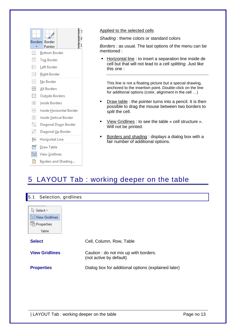| <b>Borders</b> | Border                   |  |  |
|----------------|--------------------------|--|--|
|                | Painter                  |  |  |
| ₽₩             | <b>Bottom Border</b>     |  |  |
| 區              | <b>Top Border</b>        |  |  |
| FF             | Left Border              |  |  |
| E              | <b>Right Border</b>      |  |  |
| FF             | No Border                |  |  |
| Ħ              | All Borders              |  |  |
| ÷              | Outside Borders          |  |  |
| ⊞              | Inside Borders           |  |  |
| ₩              | Inside Horizontal Border |  |  |
| BB             | Inside Vertical Border   |  |  |
| Ñ              | Diagonal Down Border     |  |  |
| ╱              | Diagonal Up Border       |  |  |
| 兰              | Hori <u>z</u> ontal Line |  |  |
| ТÃ             | <b>Draw Table</b>        |  |  |
| 匾              | View Gridlines           |  |  |
|                | Borders and Shading      |  |  |

#### Applied to the selected cells

*Shading :* theme colors or standard colors

*Borders* : as usual. The last options of the menu can be mentioned :

■ Horizontal line : to insert a separation line inside de cell but that will not lead to a cell *splitting.* Just like this one :

This line is not a floating picture but a special drawing, anchored to the insertion point. Double-click on the line for additional options (color, alignment in the cell …)

- **•** Draw table : the pointer turns into a pencil. It is then possible to drag the mouse between two borders to *split* the cell.
- View Gridlines : to see the table « cell structure ». Will not be printed.
- Borders and shading : displays a dialog box with a fair number of additional options.

## <span id="page-14-0"></span>5 LAYOUT Tab : working deeper on the table

<span id="page-14-1"></span>

| Selection, gridlines<br>$\vert 5.1 \vert$ |                                                                 |
|-------------------------------------------|-----------------------------------------------------------------|
|                                           |                                                                 |
| ि Select <del>-</del>                     |                                                                 |
| <b>HE View Gridlines</b>                  |                                                                 |
| <b>H</b> in Properties                    |                                                                 |
| Table                                     |                                                                 |
| <b>Select</b>                             | Cell, Column, Row, Table                                        |
|                                           |                                                                 |
| <b>View Gridlines</b>                     | Caution: do not mix up with borders.<br>(not active by default) |
| <b>Properties</b>                         | Dialog box for additional options (explained later)             |
|                                           |                                                                 |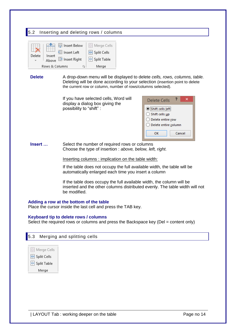#### <span id="page-15-0"></span>5.2 Inserting and deleting rows / columns B Merge Cells **D** Insert Below Insert Left  $\overline{\mathbb{H}}$  Split Cells Delete Insert Above E Insert Right  $\boxplus$  Split Table Rows & Columns  $\overline{\mathbb{F}_2}$ Merge **Delete** A drop-down menu will be displayed to delete *cells, rows, columns, table.* Deleting will be done according to your selection (insertion point to delete the current row or column, number of rows/columns selected). If you have selected cells, Word will x Delete Cells display a dialog box giving the possibility to "shift" : Shift cells left ◯ Shift cells up ◯ Delete entire row ◯ Delete entire column OK Cancel **Insert** ... Select the number of required rows or columns Choose the type of insertion : *above, below, left, right.* Inserting columns : implication on the table width: If the table does not occupy the full available width, the table will be automatically enlarged each time you insert a column If the table does occupy the full available width, the column will be inserted and the other columns distributed evenly. The table width will not be modified. **Adding a row at the bottom of the table** Place the cursor inside the last cell and press the TAB key. **Keyboard tip to delete rows / columns**

Select the required rows or columns and press the Backspace key (Del = content only)

<span id="page-15-1"></span>

| <b>5.3</b> Merging and splitting cells |  |  |
|----------------------------------------|--|--|
|                                        |  |  |



- H Split Table
- Merge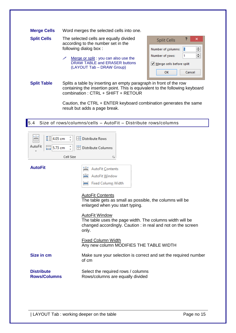| <b>Merge Cells</b> | Word merges the selected cells into one. |
|--------------------|------------------------------------------|
|--------------------|------------------------------------------|

| <b>Split Cells</b> | The selected cells are equally divided |
|--------------------|----------------------------------------|
|                    | according to the number set in the     |
|                    | following dialog box:                  |

Merge or split : you can also use the DRAW TABLE and ERASER buttons (LAYOUT Tab – DRAW Group)

| <b>Split Cells</b>       |        |  |
|--------------------------|--------|--|
| Number of columns:       | 2      |  |
| Number of rows:          | 1      |  |
| Merge cells before split |        |  |
| ОΚ                       | Cancel |  |

**Split Table** Splits a table by inserting an empty paragraph in front of the row containing the insertion point. This is equivalent to the following keyboard combination : CTRL + SHIFT + RETOUR

> Caution, the CTRL + ENTER keyboard combination generates the same result but adds a page break.

<span id="page-16-0"></span>5.4 Size of rows/columns/cells – AutoFit – Distribute rows/columns

| 터넷크<br>$\frac{1}{2}$<br>4.05 cm<br>$\equiv$<br>AutoFit<br>5.73 cm<br>Cell Size | $\boxplus$ Distribute Rows<br>Distribute Columns<br>Б.                                                                                                                                                                                                                                                                                                                       |
|--------------------------------------------------------------------------------|------------------------------------------------------------------------------------------------------------------------------------------------------------------------------------------------------------------------------------------------------------------------------------------------------------------------------------------------------------------------------|
| <b>AutoFit</b>                                                                 | 譒<br><b>AutoFit Contents</b><br>鹽<br><b>AutoFit Window</b><br>₩<br>Fixed Column Width<br><b>AutoFit Contents</b><br>The table gets as small as possible, the columns will be<br>enlarged when you start typing.<br><b>AutoFit Window</b><br>The table uses the page width. The columns width will be<br>changed accordingly. Caution: in real and not on the screen<br>only. |
|                                                                                | <b>Fixed Column Width</b><br>Any new column MODIFIES THE TABLE WIDTH                                                                                                                                                                                                                                                                                                         |
| Size in cm                                                                     | Make sure your selection is correct and set the required number<br>of cm                                                                                                                                                                                                                                                                                                     |
| <b>Distribute</b><br><b>Rows/Columns</b>                                       | Select the required rows / columns<br>Rows/columns are equally divided                                                                                                                                                                                                                                                                                                       |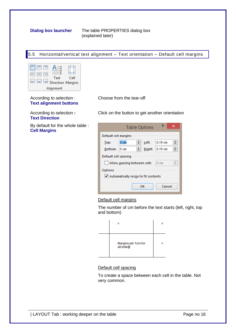**Dialog box launcher** The table PROPERTIES dialog box (explained later)

#### <span id="page-17-0"></span>5.5 Horizontal/vertical text alignment – Text orientation – Default cell margins



According to selection : **Text alignment buttons** Choose from the tear-off

Click on the button to get another orientation

According to selection **: Text Direction**

By default for the whole table : **Cell Margins**

|                                               |                 |   | <b>Table Options</b> | 2         | × |
|-----------------------------------------------|-----------------|---|----------------------|-----------|---|
| Default cell margins                          |                 |   |                      |           |   |
| Top:                                          | 0 <sub>cm</sub> | ♦ | Left:                | $0.19$ cm |   |
| Bottom:                                       | 0 cm            | ÷ | Right:               | $0.19$ cm |   |
| Default cell spacing                          |                 |   |                      |           |   |
| $0 \text{ cm}$<br>Allow spacing between cells |                 |   |                      |           |   |
| Options                                       |                 |   |                      |           |   |
| Automatically resize to fit contents          |                 |   |                      |           |   |
|                                               |                 |   | ОΚ                   | Cancel    |   |

#### Default cell margins

The number of cm before the text starts (left, right, top and bottom)

<span id="page-17-1"></span>

#### Default cell spacing

To create a space between each cell in the table. Not very common.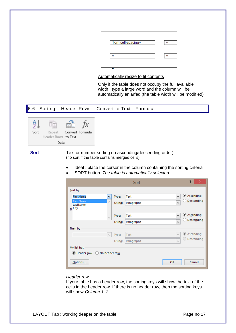| 1 cm-cell-spacing® | n |
|--------------------|---|
| o                  | o |

#### Automatically resize to fit contents

Only if the table does not occupy the full available width : type a large word and the column will be automatically enlarfed (the table width will be modified)

#### <span id="page-18-0"></span>5.6 Sorting – Header Rows – Convert to Text - Formula



**Sort** Text or number sorting (in ascending/descending order) (no sort if the table contains merged cells)

- Ideal : place the cursor in the column containing the sorting criteria
- SORT button. *The table is automatically selected*

|                                              |                     |        | Sort       |            | ?<br>×                             |
|----------------------------------------------|---------------------|--------|------------|------------|------------------------------------|
| Sort by                                      |                     |        |            |            |                                    |
| <b>FirstName</b>                             | ٧                   | Type:  | Text       | v          | ◉ Ascending                        |
| FirstName<br>LastName<br>$\mathbf{I}$ City   | $\mathcal{O}_2$     | Using: | Paragraphs | v          | Descending                         |
|                                              | $\lambda_{\rm{c}}/$ | Type:  | Text       | v          | ◎ As <u>c</u> ending<br>Descending |
|                                              |                     | Using: | Paragraphs | v          |                                    |
| Then by                                      |                     |        |            |            |                                    |
|                                              | $\mathcal{Q}$       | Type:  | Text       | $\omega$   | Ascending<br>$\circledcirc$        |
|                                              |                     | Using: | Paragraphs | $\sqrt{ }$ | Descending<br>( )                  |
| My list has<br>Header row<br>◯ No header row |                     |        |            |            |                                    |
| Options                                      |                     |        |            | OK         | Cancel                             |

#### *Header row*

If your table has a header row, the sorting keys will show the text of the cells in the header row. If there is no header row, then the sorting keys will show *Column 1, 2 …*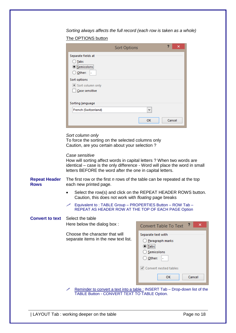*Sorting always affects the full record (each row is taken as a whole)* The OPTIONS button

| 2<br>×<br><b>Sort Options</b>                                  |
|----------------------------------------------------------------|
| Separate fields at<br>Tabs<br><u>Semicolons</u><br>Other:<br>۰ |
| Sort options<br>Sort column only<br>Case sensitive             |
| Sorting language<br>French (Switzerland)<br>v                  |
| Cancel<br>OK                                                   |

#### *Sort column only*

To force the sorting on the selected columns only Caution, are you certain about your selection ?

*Case sensitive*

How will sorting affect words in capital letters ? When two words are identical – case is the only difference - Word will place the word in small letters BEFORE the word after the one in capital letters.

**Repeat Header Rows** The first row or the first *n* rows of the table can be repeated at the top each new printed page.

- Select the row(s) and click on the REPEAT HEADER ROWS button. Caution, this does not work with *floating* page breaks
- $\mathscr{P}$  Equivalent to : TABLE Group PROPERTIES Button ROW Tab REPEAT AS HEADER ROW AT THE TOP OF EACH PAGE Option

#### **Convert to text** Select the table Here below the dialog box :

Choose the character that will separate items in the new text

|       | <b>Convert Table To Text</b>                                                                  |
|-------|-----------------------------------------------------------------------------------------------|
| list. | Separate text with<br>◯ Paragraph marks<br><b>■</b> Tabs<br>◯ Semicolons<br>$\bigcirc$ Other: |
|       | └ Convert nested tables                                                                       |
|       | OK<br>Cancel                                                                                  |

 Reminder to convert a text into a table : INSERT Tab – Drop-down list of the TABLE Button - CONVERT TEXT TO TABLE Option.

| LAYOUT Tab : working deeper on the table | No. 2012 | Page no 18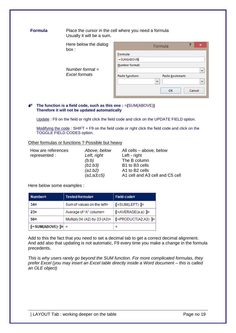#### **Formula** Place the cursor in the cell where you need a formula Usually it will be a sum.

Here below the dialog box :

*Number format = Excel formats*

|                 | Formula                  | 2      |   |
|-----------------|--------------------------|--------|---|
| Formula:        |                          |        |   |
| =SUM(ABOVE)     |                          |        |   |
| Number format:  |                          |        |   |
|                 |                          |        | v |
| Paste function: | Paste bookmark:          |        |   |
|                 | $\overline{\phantom{a}}$ |        | v |
|                 |                          |        |   |
|                 | OK                       | Cancel |   |

#### **The function is a field code, such as this one :** =**{**SUM(ABOVE)**} Therefore it will not be updated automatically**

Update : F9 on the field or right click the field code and click on the UPDATE FIELD option.

Modifying the code : SHIFT + F9 on the field code or right click the field code and click on the TOGGLE FIELD CODES option.

#### Other formulas or functions ? Possible but heavy

| How are references<br>represented: | Above, below<br>Left, right<br>(b:b)<br>(b1:b3)<br>(a1:b2) | All cells - above, below<br>Left - right<br>The B column<br>B1 to B3 cells<br>A1 to B2 cells |
|------------------------------------|------------------------------------------------------------|----------------------------------------------------------------------------------------------|
|                                    | (a1; a3; c5)                                               | A1 cell and A3 cell and C5 cell                                                              |
|                                    |                                                            |                                                                                              |

Here below some examples :

| <b>Number#</b>      | Tested-formula#                        | Field-code¤         |
|---------------------|----------------------------------------|---------------------|
| 34n                 | Sum of values on the left <sup>a</sup> | ∦≔SUM(LEFT) }ैं¤    |
| 23#                 | Average of "A" column¤                 | ∦≔AVERAGE(a:a) }¤   |
| 56¤                 | Multiply 34 (A2) by 23 (A3) x          | EPRODUCT(A2;A3) · } |
| ∦=SUM(ABOVE) · }¤ ¤ |                                        | ×                   |

Add to this the fact that you need to set a decimal tab to get a correct decimal alignment. And add also that updating is not automatic, F9 every time you make a change in the formula precedents.

*This is why users rarely go beyond the SUM function. For more complicated formulas, they prefer Excel (you may insert an Excel table directly inside a Word document – this is called an OLE object)*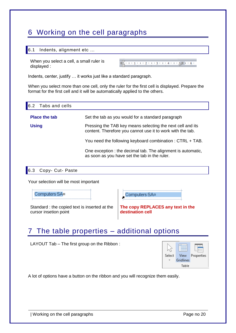## <span id="page-21-0"></span>6 Working on the cell paragraphs

#### <span id="page-21-1"></span>6.1 Indents, alignment etc …

When you select a cell, a small ruler is displayed :

Indents, center, justify … it works just like a standard paragraph.

When you select more than one cell, only the ruler for the first cell is displayed. Prepare the format for the first cell and it will be automatically applied to the others.

<span id="page-21-2"></span>

| Tabs and cells<br>6.2 |                                                                                                                          |  |  |
|-----------------------|--------------------------------------------------------------------------------------------------------------------------|--|--|
| <b>Place the tab</b>  | Set the tab as you would for a standard paragraph                                                                        |  |  |
| <b>Using</b>          | Pressing the TAB key means selecting the next cell and its<br>content. Therefore you cannot use it to work with the tab. |  |  |
|                       | You need the following keyboard combination: CTRL + TAB.                                                                 |  |  |
|                       | One exception : the decimal tab. The alignment is automatic,<br>as soon as you have set the tab in the ruler.            |  |  |
|                       |                                                                                                                          |  |  |

<span id="page-21-3"></span>6.3 Copy- Cut- Paste

Your selection will be most important

Computers SAn



Standard : the copied text is inserted at the cursor insetion point

**The copy REPLACES any text in the destination cell**

## <span id="page-21-4"></span>7 The table properties – additional options

LAYOUT Tab – The first group on the Ribbon :



A lot of options have a button on the ribbon and you will recognize them easily.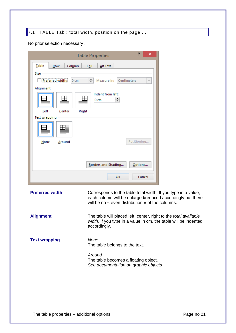### <span id="page-22-0"></span>7.1 TABLE Tab : total width, position on the page ...

No prior selection necessary .

| 2<br>×<br><b>Table Properties</b>                                                                                                                                                                         |
|-----------------------------------------------------------------------------------------------------------------------------------------------------------------------------------------------------------|
| Table<br>Column<br>Cell<br>Alt Text<br>Row<br>Size                                                                                                                                                        |
| Preferred width:<br>÷<br>$0 \text{ cm}$<br>Centimeters<br>Measure in:<br>u<br>Alignment                                                                                                                   |
| Indent from left:<br>÷<br>$0 \text{ cm}$<br>Right<br>Left<br>Center                                                                                                                                       |
| <b>Text wrapping</b>                                                                                                                                                                                      |
|                                                                                                                                                                                                           |
| Positioning<br>None<br>Around                                                                                                                                                                             |
|                                                                                                                                                                                                           |
| Borders and Shading<br>Options                                                                                                                                                                            |
| OK<br>Cancel                                                                                                                                                                                              |
| <b>Preferred width</b><br>Corresponds to the table total width. If you type in a value,<br>each column will be enlarged/reduced accordingly but there<br>will be no « even distribution » of the columns. |
| <b>Alignment</b><br>The table will placed left, center, right to the total available<br>width. If you type in a value in cm, the table will be indented<br>accordingly.                                   |
| None<br><b>Text wrapping</b><br>The table belongs to the text.                                                                                                                                            |

*Around* The table becomes a floating object. *See documentation on graphic objects*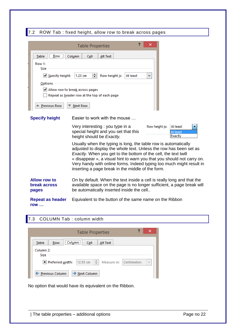#### <span id="page-23-0"></span>7.2 ROW Tab : fixed height, allow row to break across pages

|                                                              | ×<br><b>Table Properties</b>                                                                                                                                                                                                                                                                                                                                                                                    |
|--------------------------------------------------------------|-----------------------------------------------------------------------------------------------------------------------------------------------------------------------------------------------------------------------------------------------------------------------------------------------------------------------------------------------------------------------------------------------------------------|
| Row<br>Table                                                 | Column<br>Cell<br>Alt Text                                                                                                                                                                                                                                                                                                                                                                                      |
| Row 1:<br>Size<br>Specify height:<br>Options<br>Previous Row | 쉐<br>Row height is:<br>$1.23$ cm<br>At least<br>٧<br>Allow row to break across pages<br>Repeat as header row at the top of each page<br><b>Next Row</b>                                                                                                                                                                                                                                                         |
| <b>Specify height</b>                                        | Easier to work with the mouse                                                                                                                                                                                                                                                                                                                                                                                   |
|                                                              | Very interesting : you type in a<br>Row height is:<br>At least<br>special height and you set that this<br>At least<br>Exactly<br>height should be Exactly.                                                                                                                                                                                                                                                      |
|                                                              | Usually when the typing is long, the table row is automatically<br>adjusted to display the whole text. Unless the row has been set as<br>Exactly. When you get to the bottom of the cell, the text twill<br>« disappear », a visual hint to warn you that you should not carry on.<br>Very handy with online forms. Indeed typing too much might result in<br>inserting a page break in the middle of the form. |
| <b>Allow row to</b><br><b>break across</b><br>pages          | On by default. When the text inside a cell is really long and that the<br>available space on the page is no longer sufficient, a page break will<br>be automatically inserted inside the cell                                                                                                                                                                                                                   |
| <b>Repeat as header</b><br><b>row</b>                        | Equivalent to the button of the same name on the Ribbon                                                                                                                                                                                                                                                                                                                                                         |

### <span id="page-23-1"></span>7.3 COLUMN Tab : column width

| ?<br>×<br><b>Table Properties</b>                                                                 |  |
|---------------------------------------------------------------------------------------------------|--|
| <br>Column:<br>Table<br>Row<br>Cell<br>Alt Text                                                   |  |
| Column <sub>2:</sub><br>Size<br>÷<br>12.55 cm<br>Preferred width:<br>Measure in: Centimeters<br>v |  |
| ← Previous Column<br>→ Next Column                                                                |  |

No option that would have its equivalent on the Ribbon.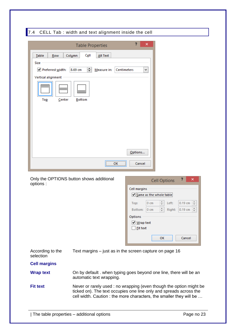<span id="page-24-0"></span>

|                                                                                   | ?<br>×<br><b>Table Properties</b>                                                                                                                                                                                                             |
|-----------------------------------------------------------------------------------|-----------------------------------------------------------------------------------------------------------------------------------------------------------------------------------------------------------------------------------------------|
| Table<br>Row<br>Size<br>V Preferred width:<br>Vertical alignment<br>Top<br>Center | Cell<br>Column<br>Alt Text<br>≑∥<br>8.69 cm<br>Measure in:<br>Centimeters<br>٧<br><b>Bottom</b>                                                                                                                                               |
|                                                                                   | Options<br>Cancel<br>OK<br>Only the OPTIONS button shows additional<br>?<br>×<br><b>Cell Options</b>                                                                                                                                          |
| options:                                                                          | Cell margins<br>Same as the whole table<br>÷<br>$0.19 \text{ cm}$ $\div$<br>$0 \text{ cm}$<br>Left:<br>Top:<br>÷<br>0.19 cm $\Rightarrow$<br>$0 \text{ cm}$<br>Right:<br>Bottom:<br>Options<br>√ Wrap text<br><b>Fit text</b><br>ОΚ<br>Cancel |
| According to the<br>selection                                                     | Text margins – just as in the screen capture on page 16                                                                                                                                                                                       |
| <b>Cell margins</b>                                                               |                                                                                                                                                                                                                                               |
| <b>Wrap text</b>                                                                  | On by default . when typing goes beyond one line, there will be an<br>automatic text wrapping.                                                                                                                                                |
| <b>Fit text</b>                                                                   | Never or rarely used : no wrapping (even though the option might be<br>ticked on). The text occupies one line only and spreads across the                                                                                                     |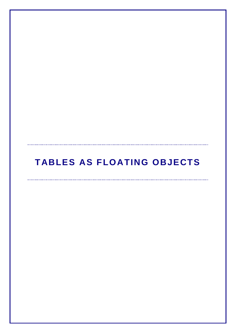# <span id="page-26-0"></span>**TABLES AS FLOATING OBJECTS**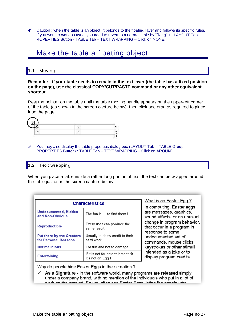$\bullet$  Caution : when the table is an object, it belongs to the floating layer and follows its specific rules. If you want to work as usual you need to revert to a normal table by "fixing" it : LAYOUT Tab - ROPERTIES Button - TABLE Tab – TEXT WRAPPING – Click on NONE.

### <span id="page-28-0"></span>1 Make the table a floating object

#### <span id="page-28-1"></span>1.1 Moving

#### **Reminder : if your table needs to remain in the text layer (the table has a fixed position on the page), use the classical COPY/CUT/PASTE command or any other equivalent shortcut**

Rest the pointer on the table until the table moving handle appears on the upper-left corner of the table (as shown in the screen capture below), then click and drag as required to place it on the page.



 You may also display the table properties dialog box (LAYOUT Tab – TABLE Group – PROPERTIES Button) : TABLE Tab – TEXT WRAPPING – Click on AROUND

#### <span id="page-28-2"></span>1.2 Text wrapping

When you place a table inside a rather long portion of text, the text can be wrapped around the table just as in the screen capture below :

| <b>Characteristics</b>                                   |                                                                   | What is an Easter Egg ?<br>In computing, Easter eggs               |
|----------------------------------------------------------|-------------------------------------------------------------------|--------------------------------------------------------------------|
| <b>Undocumented, Hidden</b><br>and Non-Obvious           | The fun is  to find them!                                         | are messages, graphics,<br>sound effects, or an unusual            |
| <b>Reproductible</b>                                     | Every user can produce the<br>same result                         | change in program behavior,<br>that occur in a program in          |
| <b>Put there by the Creators</b><br>for Personal Reasons | Usually to show credit to their<br>hard work                      | response to some<br>undocumented set of<br>commands, mouse clicks, |
| <b>Not malicious</b>                                     | For fun and not to damage                                         | keystrokes or other stimuli                                        |
| <b>Entertaining</b>                                      | If it is not for entertainment $\rightarrow$<br>It's not an Egg ! | intended as a joke or to<br>display program credits.               |

Why do people hide Easter Eggs in their creation?

 $\checkmark$  As a Signature - In the software world, many programs are released simply under a company brand, with no mention of the individuals who put in a lot of work on the arodust. Co was often one Easter Ease listing the noonle who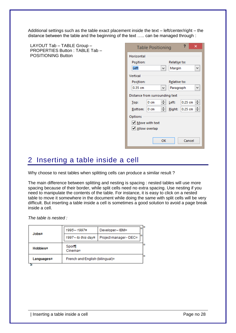Additional settings such as the table exact placement inside the text – left/center/right – the distance between the table and the beginning of the text ….. can be managed through :

| LAYOUT Tab - TABLE Group -                                  | ?<br>×<br><b>Table Positioning</b>                                                                                                                                                                                                                                                                                                                                      |
|-------------------------------------------------------------|-------------------------------------------------------------------------------------------------------------------------------------------------------------------------------------------------------------------------------------------------------------------------------------------------------------------------------------------------------------------------|
| PROPERTIES Button: TABLE Tab -<br><b>POSITIONING Button</b> | Horizontal<br>Position:<br>Relative to:<br>Left<br>Margin<br>٧<br>v<br>Vertical<br>Position:<br>Relative to:<br>$0.35$ cm<br>Paragraph<br>٧<br>v<br>Distance from surrounding text<br>H<br>≑∥<br>$0.25$ cm<br>Left:<br>$0 \text{ cm}$<br>Top:<br>≑∥<br>H<br>0.25 cm<br>$0 \,$ cm<br>Right:<br>Bottom:<br>Options<br>√ Move with text<br>√ Allow overlap<br>Cancel<br>OK |
|                                                             |                                                                                                                                                                                                                                                                                                                                                                         |

### <span id="page-29-0"></span>2 Inserting a table inside a cell

Why choose to nest tables when splitting cells can produce a similar result ?

The main difference between splitting and nesting is spacing : nested tables will use more spacing because of their border, while split cells need no extra spacing. Use nesting if you need to manipulate the contents of the table. For instance, it is easy to click on a nested table to move it somewhere in the document while doing the same with split cells will be very difficult. But inserting a table inside a cell is sometimes a good solution to avoid a page break inside a cell.

*The table is nested :* 

|            | 1995-1997#                                  | Developer--IBM <sup>xx</sup>        | œ |
|------------|---------------------------------------------|-------------------------------------|---|
| $J$ obs#   | 1997 - to this dayn                         | Project manager ~ DEC <sup>xx</sup> | o |
| Hobbies#   | Sport<br>Cinema¤                            |                                     | n |
| Languages# | French-and-English-(bilingual) <sup>a</sup> |                                     | о |